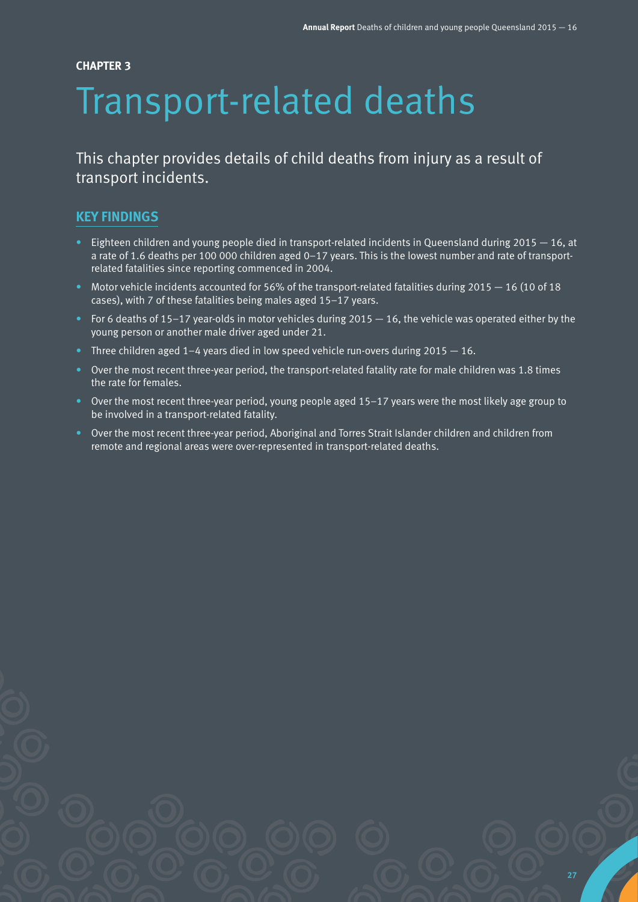## **CHAPTER 3**

# Transport-related deaths

This chapter provides details of child deaths from injury as a result of transport incidents.

# **KEY FINDINGS**

- **•** Eighteen children and young people died in transport-related incidents in Queensland during 2015  $-$  16, at a rate of 1.6 deaths per 100 000 children aged 0–17 years. This is the lowest number and rate of transportrelated fatalities since reporting commenced in 2004.
- Motor vehicle incidents accounted for 56% of the transport-related fatalities during 2015 16 (10 of 18 cases), with 7 of these fatalities being males aged 15–17 years.
- For 6 deaths of 15–17 year-olds in motor vehicles during 2015  $-$  16, the vehicle was operated either by the young person or another male driver aged under 21.
- Three children aged  $1-4$  years died in low speed vehicle run-overs during  $2015 16$ .
- Over the most recent three-year period, the transport-related fatality rate for male children was 1.8 times the rate for females.
- Over the most recent three-year period, young people aged 15–17 years were the most likely age group to be involved in a transport-related fatality.
- Over the most recent three-year period, Aboriginal and Torres Strait Islander children and children from remote and regional areas were over-represented in transport-related deaths.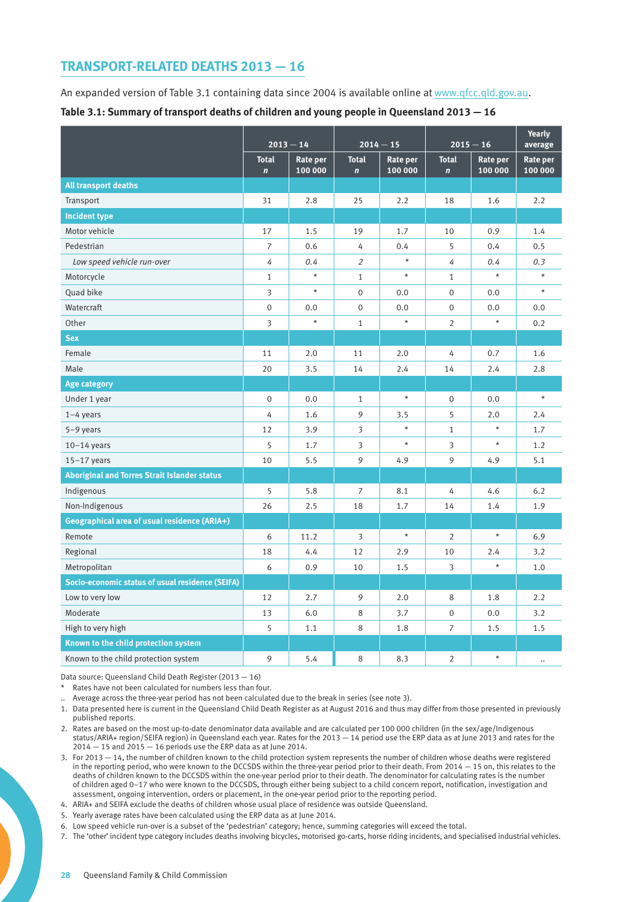# **TRANSPORT-RELATED DEATHS 2013 — 16**

An expanded version of Table 3.1 containing data since 2004 is available online at [www.qfcc.qld.gov.au](http://www.qfcc.qld.gov.au).

**Table 3.1: Summary of transport deaths of children and young people in Queensland 2013 — 16**

|                                                     |                             |                     |                              |                     |                             |                            | Yearly              |
|-----------------------------------------------------|-----------------------------|---------------------|------------------------------|---------------------|-----------------------------|----------------------------|---------------------|
|                                                     | $2013 - 14$                 |                     | $2014 - 15$                  |                     | $2015 - 16$                 |                            | average             |
|                                                     | <b>Total</b><br>$\mathbf n$ | Rate per<br>100 000 | <b>Total</b><br>$\mathbf{n}$ | Rate per<br>100 000 | <b>Total</b><br>$\mathbf n$ | <b>Rate per</b><br>100 000 | Rate per<br>100 000 |
| <b>All transport deaths</b>                         |                             |                     |                              |                     |                             |                            |                     |
| Transport                                           | 31                          | 2.8                 | 25                           | 2.2                 | 18                          | 1.6                        | 2.2                 |
| <b>Incident type</b>                                |                             |                     |                              |                     |                             |                            |                     |
| Motor vehicle                                       | 17                          | 1.5                 | 19                           | 1.7                 | 10                          | 0.9                        | 1.4                 |
| Pedestrian                                          | $\overline{7}$              | 0.6                 | 4                            | 0.4                 | 5                           | 0.4                        | 0.5                 |
| Low speed vehicle run-over                          | 4                           | 0.4                 | $\overline{2}$               | $\star$             | 4                           | 0.4                        | 0.3                 |
| Motorcycle                                          | $\mathbf{1}$                | $\star$             | $\mathbf{1}$                 | $\star$             | $\mathbf{1}$                | $\star$                    |                     |
| Quad bike                                           | 3                           | $\star$             | $\overline{0}$               | 0.0                 | $\overline{0}$              | 0.0                        | $\star$             |
| Watercraft                                          | $\boldsymbol{0}$            | 0.0                 | $\boldsymbol{0}$             | 0.0                 | 0                           | 0.0                        | 0.0                 |
| Other                                               | 3                           | $\star$             | $\mathbf{1}$                 | $\star$             | $\overline{2}$              | $^\star$                   | 0.2                 |
| <b>Sex</b>                                          |                             |                     |                              |                     |                             |                            |                     |
| Female                                              | 11                          | 2.0                 | 11                           | 2.0                 | 4                           | 0.7                        | 1.6                 |
| Male                                                | 20                          | 3.5                 | 14                           | 2.4                 | 14                          | 2.4                        | 2.8                 |
| <b>Age category</b>                                 |                             |                     |                              |                     |                             |                            |                     |
| Under 1 year                                        | $\mathbf 0$                 | 0.0                 | $\mathbf{1}$                 | $\star$             | $\mathbf 0$                 | $0.0\,$                    | $\star$             |
| $1-4$ years                                         | 4                           | 1.6                 | 9                            | 3.5                 | 5                           | 2.0                        | 2.4                 |
| 5-9 years                                           | 12                          | 3.9                 | 3                            | $\star$             | $\mathbf{1}$                | $\star$                    | 1.7                 |
| $10-14$ years                                       | 5                           | 1.7                 | 3                            | $\star$             | 3                           | $\star$                    | 1.2                 |
| $15-17$ years                                       | 10                          | 5.5                 | 9                            | 4.9                 | 9                           | 4.9                        | 5.1                 |
| <b>Aboriginal and Torres Strait Islander status</b> |                             |                     |                              |                     |                             |                            |                     |
| Indigenous                                          | 5                           | 5.8                 | $\overline{7}$               | 8.1                 | 4                           | 4.6                        | 6.2                 |
| Non-Indigenous                                      | 26                          | 2.5                 | 18                           | 1.7                 | 14                          | 1.4                        | 1.9                 |
| Geographical area of usual residence (ARIA+)        |                             |                     |                              |                     |                             |                            |                     |
| Remote                                              | 6                           | 11.2                | 3                            | $^\star$            | 2                           | $\star$                    | 6.9                 |
| Regional                                            | 18                          | 4.4                 | 12                           | 2.9                 | 10                          | 2.4                        | 3.2                 |
| Metropolitan                                        | 6                           | 0.9                 | 10                           | 1.5                 | 3                           | $\star$                    | 1.0                 |
| Socio-economic status of usual residence (SEIFA)    |                             |                     |                              |                     |                             |                            |                     |
| Low to very low                                     | 12                          | 2.7                 | 9                            | 2.0                 | 8                           | 1.8                        | 2.2                 |
| Moderate                                            | 13                          | 6.0                 | 8                            | 3.7                 | $\mathbf 0$                 | 0.0                        | 3.2                 |
| High to very high                                   | 5                           | 1.1                 | 8                            | 1.8                 | $\overline{7}$              | 1.5                        | 1.5                 |
| Known to the child protection system                |                             |                     |                              |                     |                             |                            |                     |
| Known to the child protection system                | 9                           | 5.4                 | 8                            | 8.3                 | $\overline{2}$              | $\star$                    | $\ddotsc$           |

Data source: Queensland Child Death Register (2013 — 16)

\* Rates have not been calculated for numbers less than four.

.. Average across the three-year period has not been calculated due to the break in series (see note 3).

1. Data presented here is current in the Queensland Child Death Register as at August 2016 and thus may differ from those presented in previously published reports.

2. Rates are based on the most up-to-date denominator data available and are calculated per 100 000 children (in the sex/age/Indigenous status/ARIA+ region/SEIFA region) in Queensland each year. Rates for the 2013 — 14 period use the ERP data as at June 2013 and rates for the  $2014 - 15$  and  $2015 - 16$  periods use the ERP data as at June 2014.

3. For 2013 — 14, the number of children known to the child protection system represents the number of children whose deaths were registered in the reporting period, who were known to the DCCSDS within the three-year period prior to their death. From 2014 — 15 on, this relates to the deaths of children known to the DCCSDS within the one-year period prior to their death. The denominator for calculating rates is the number of children aged 0–17 who were known to the DCCSDS, through either being subject to a child concern report, notification, investigation and assessment, ongoing intervention, orders or placement, in the one-year period prior to the reporting period.

4. ARIA+ and SEIFA exclude the deaths of children whose usual place of residence was outside Queensland.

5. Yearly average rates have been calculated using the ERP data as at June 2014.

6. Low speed vehicle run-over is a subset of the 'pedestrian' category; hence, summing categories will exceed the total.

7. The 'other' incident type category includes deaths involving bicycles, motorised go-carts, horse riding incidents, and specialised industrial vehicles.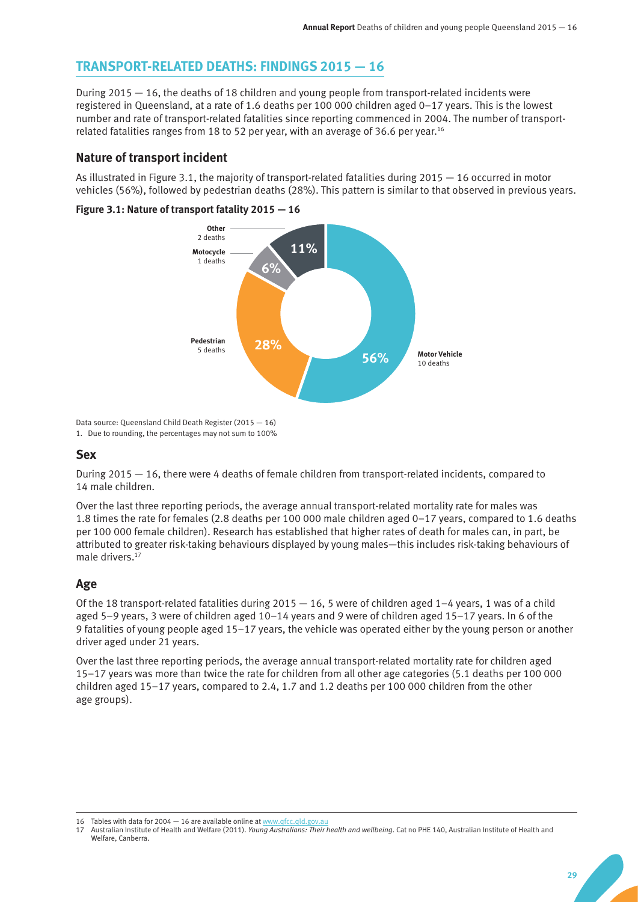# **TRANSPORT-RELATED DEATHS: FINDINGS 2015 — 16**

During 2015 — 16, the deaths of 18 children and young people from transport-related incidents were registered in Queensland, at a rate of 1.6 deaths per 100 000 children aged 0–17 years. This is the lowest number and rate of transport-related fatalities since reporting commenced in 2004. The number of transportrelated fatalities ranges from 18 to 52 per year, with an average of 36.6 per year.16

## **Nature of transport incident**

As illustrated in Figure 3.1, the majority of transport-related fatalities during 2015 — 16 occurred in motor vehicles (56%), followed by pedestrian deaths (28%). This pattern is similar to that observed in previous years.

#### **Figure 3.1: Nature of transport fatality 2015 — 16**



Data source: Queensland Child Death Register (2015 — 16) 1. Due to rounding, the percentages may not sum to 100%

### **Sex**

During 2015 — 16, there were 4 deaths of female children from transport-related incidents, compared to 14 male children.

Over the last three reporting periods, the average annual transport-related mortality rate for males was 1.8 times the rate for females (2.8 deaths per 100 000 male children aged 0–17 years, compared to 1.6 deaths per 100 000 female children). Research has established that higher rates of death for males can, in part, be attributed to greater risk-taking behaviours displayed by young males—this includes risk-taking behaviours of male drivers.<sup>17</sup>

# **Age**

Of the 18 transport-related fatalities during 2015  $-$  16, 5 were of children aged 1–4 years, 1 was of a child aged 5–9 years, 3 were of children aged 10–14 years and 9 were of children aged 15–17 years. In 6 of the 9 fatalities of young people aged 15–17 years, the vehicle was operated either by the young person or another driver aged under 21 years.

Over the last three reporting periods, the average annual transport-related mortality rate for children aged 15–17 years was more than twice the rate for children from all other age categories (5.1 deaths per 100 000 children aged 15–17 years, compared to 2.4, 1.7 and 1.2 deaths per 100 000 children from the other age groups).

<sup>16</sup> Tables with data for  $2004 - 16$  are available online at www.gfcc.gld.gov.au

<sup>17</sup> Australian Institute of Health and Welfare (2011). *Young Australians: Their health and wellbeing*. Cat no PHE 140, Australian Institute of Health and Welfare, Canberra.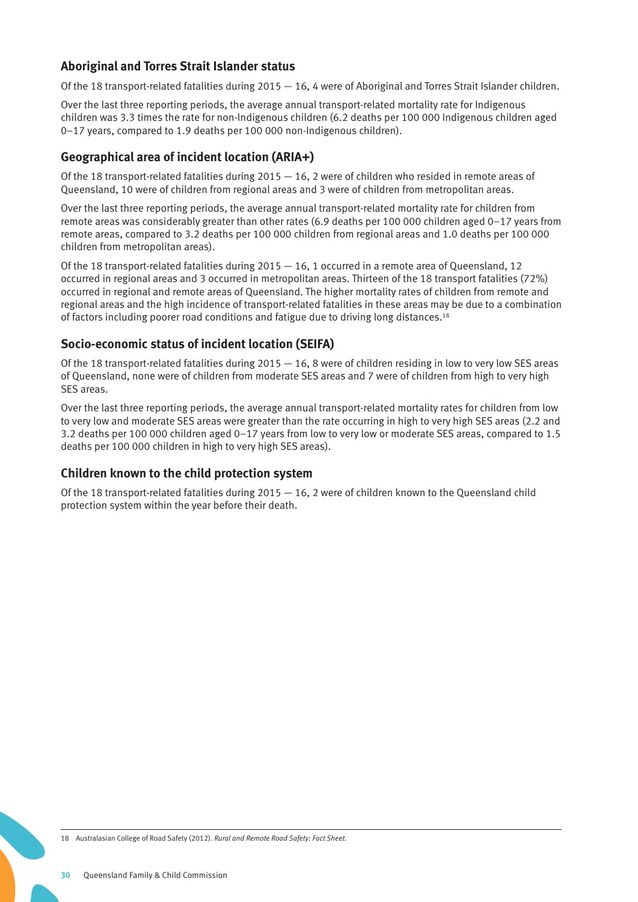# **Aboriginal and Torres Strait Islander status**

Of the 18 transport-related fatalities during  $2015 - 16$ , 4 were of Aboriginal and Torres Strait Islander children.

Over the last three reporting periods, the average annual transport-related mortality rate for Indigenous children was 3.3 times the rate for non-Indigenous children (6.2 deaths per 100 000 Indigenous children aged 0–17 years, compared to 1.9 deaths per 100 000 non-Indigenous children).

# **Geographical area of incident location (ARIA+)**

Of the 18 transport-related fatalities during  $2015 - 16$ , 2 were of children who resided in remote areas of Queensland, 10 were of children from regional areas and 3 were of children from metropolitan areas.

Over the last three reporting periods, the average annual transport-related mortality rate for children from remote areas was considerably greater than other rates (6.9 deaths per 100 000 children aged 0–17 years from remote areas, compared to 3.2 deaths per 100 000 children from regional areas and 1.0 deaths per 100 000 children from metropolitan areas).

Of the 18 transport-related fatalities during  $2015 - 16$ , 1 occurred in a remote area of Queensland, 12 occurred in regional areas and 3 occurred in metropolitan areas. Thirteen of the 18 transport fatalities (72%) occurred in regional and remote areas of Queensland. The higher mortality rates of children from remote and regional areas and the high incidence of transport-related fatalities in these areas may be due to a combination of factors including poorer road conditions and fatigue due to driving long distances.18

# **Socio-economic status of incident location (SEIFA)**

Of the 18 transport-related fatalities during  $2015 - 16$ , 8 were of children residing in low to very low SES areas of Queensland, none were of children from moderate SES areas and 7 were of children from high to very high SES areas.

Over the last three reporting periods, the average annual transport-related mortality rates for children from low to very low and moderate SES areas were greater than the rate occurring in high to very high SES areas (2.2 and 3.2 deaths per 100 000 children aged 0–17 years from low to very low or moderate SES areas, compared to 1.5 deaths per 100 000 children in high to very high SES areas).

# **Children known to the child protection system**

Of the 18 transport-related fatalities during  $2015 - 16$ , 2 were of children known to the Queensland child protection system within the year before their death.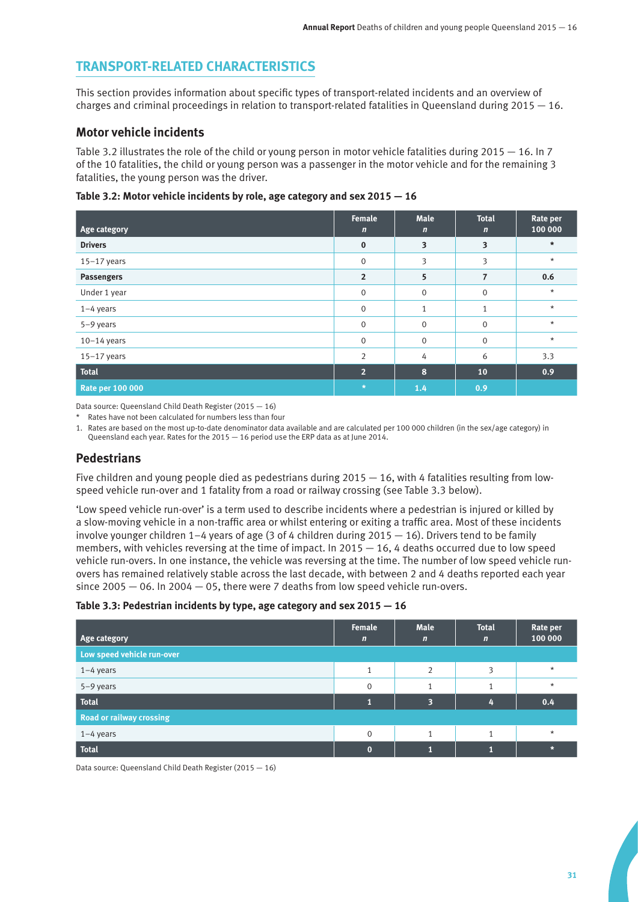# **TRANSPORT-RELATED CHARACTERISTICS**

This section provides information about specific types of transport-related incidents and an overview of charges and criminal proceedings in relation to transport-related fatalities in Queensland during  $2015 - 16$ .

## **Motor vehicle incidents**

Table 3.2 illustrates the role of the child or young person in motor vehicle fatalities during 2015 — 16. In 7 of the 10 fatalities, the child or young person was a passenger in the motor vehicle and for the remaining 3 fatalities, the young person was the driver.

**Table 3.2: Motor vehicle incidents by role, age category and sex 2015 — 16**

| Age category            | <b>Female</b><br>$\mathbf n$ | <b>Male</b><br>$\mathbf n$ | <b>Total</b><br>$\mathbf n$ | Rate per<br>100 000 |
|-------------------------|------------------------------|----------------------------|-----------------------------|---------------------|
| <b>Drivers</b>          | $\bf{0}$                     | 3                          | 3                           | $\star$             |
| $15-17$ years           | $\mathbf{0}$                 | 3                          | 3                           | $\star$             |
| Passengers              | $\overline{2}$               | 5                          | 7                           | 0.6                 |
| Under 1 year            | $\mathbf 0$                  | $\mathbf 0$                | $\mathbf{0}$                | $\star$             |
| $1-4$ years             | $\mathbf 0$                  | $\mathbf{1}$               | $\mathbf{1}$                | $^\star$            |
| $5-9$ years             | $\Omega$                     | $\mathbf 0$                | $\overline{0}$              | $\star$             |
| $10-14$ years           | $\mathbf 0$                  | $\mathbf 0$                | $\overline{0}$              | $^\star$            |
| $15-17$ years           | $\overline{2}$               | 4                          | 6                           | 3.3                 |
| <b>Total</b>            | 2 <sup>1</sup>               | 8                          | 10                          | 0.9                 |
| <b>Rate per 100 000</b> | $\star$                      | 1.4                        | 0.9                         |                     |

Data source: Queensland Child Death Register (2015 — 16)

\* Rates have not been calculated for numbers less than four

1. Rates are based on the most up-to-date denominator data available and are calculated per 100 000 children (in the sex/age category) in Queensland each year. Rates for the 2015 — 16 period use the ERP data as at June 2014.

# **Pedestrians**

Five children and young people died as pedestrians during  $2015 - 16$ , with 4 fatalities resulting from lowspeed vehicle run-over and 1 fatality from a road or railway crossing (see Table 3.3 below).

'Low speed vehicle run-over' is a term used to describe incidents where a pedestrian is injured or killed by a slow-moving vehicle in a non-traffic area or whilst entering or exiting a traffic area. Most of these incidents involve younger children  $1-4$  years of age (3 of 4 children during 2015  $-16$ ). Drivers tend to be family members, with vehicles reversing at the time of impact. In  $2015 - 16$ , 4 deaths occurred due to low speed vehicle run-overs. In one instance, the vehicle was reversing at the time. The number of low speed vehicle runovers has remained relatively stable across the last decade, with between 2 and 4 deaths reported each year since 2005  $-$  06. In 2004  $-$  05, there were 7 deaths from low speed vehicle run-overs.

#### **Table 3.3: Pedestrian incidents by type, age category and sex 2015 — 16**

| Age category                    | Female<br>$\mathbf n$ | <b>Male</b><br>$\mathbf n$ | <b>Total</b><br>$\mathbf n$ | Rate per<br>100 000 |
|---------------------------------|-----------------------|----------------------------|-----------------------------|---------------------|
| Low speed vehicle run-over      |                       |                            |                             |                     |
| $1-4$ years                     |                       | ∍                          |                             | $\star$             |
| 5-9 years                       | $\mathbf 0$           |                            |                             | $\star$             |
| <b>Total</b>                    |                       | ю                          |                             | 0.4                 |
| <b>Road or railway crossing</b> |                       |                            |                             |                     |
| $1-4$ years                     | $\Omega$              |                            |                             | $\star$             |
| <b>Total</b>                    |                       |                            |                             | $\star$             |

Data source: Queensland Child Death Register (2015 — 16)